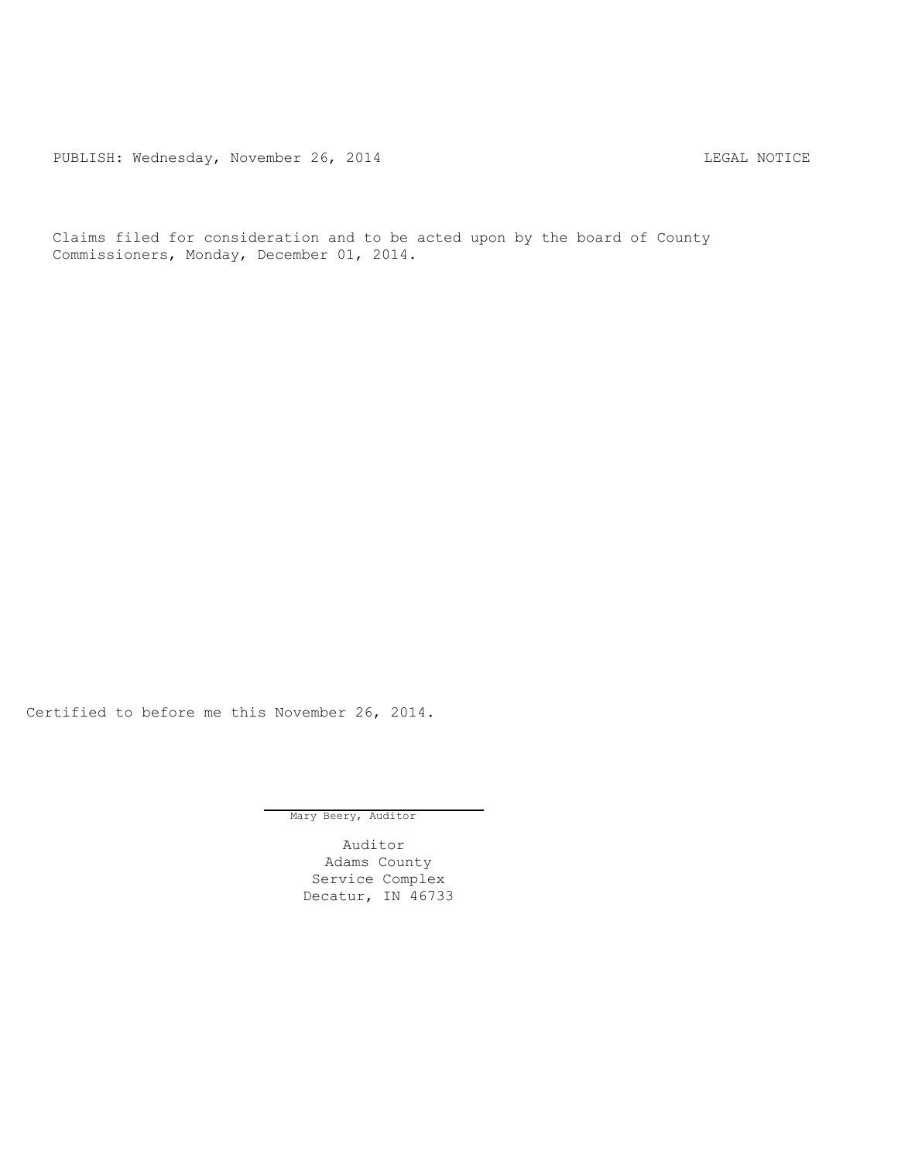PUBLISH: Wednesday, November 26, 2014 COMERCIAL SECTION CONTRACT CONTRACT PUBLISH: WEDNESDAY, NOTICE

Claims filed for consideration and to be acted upon by the board of County Commissioners, Monday, December 01, 2014.

Certified to before me this November 26, 2014.

Mary Beery, Auditor

Auditor Adams County Service Complex Decatur, IN 46733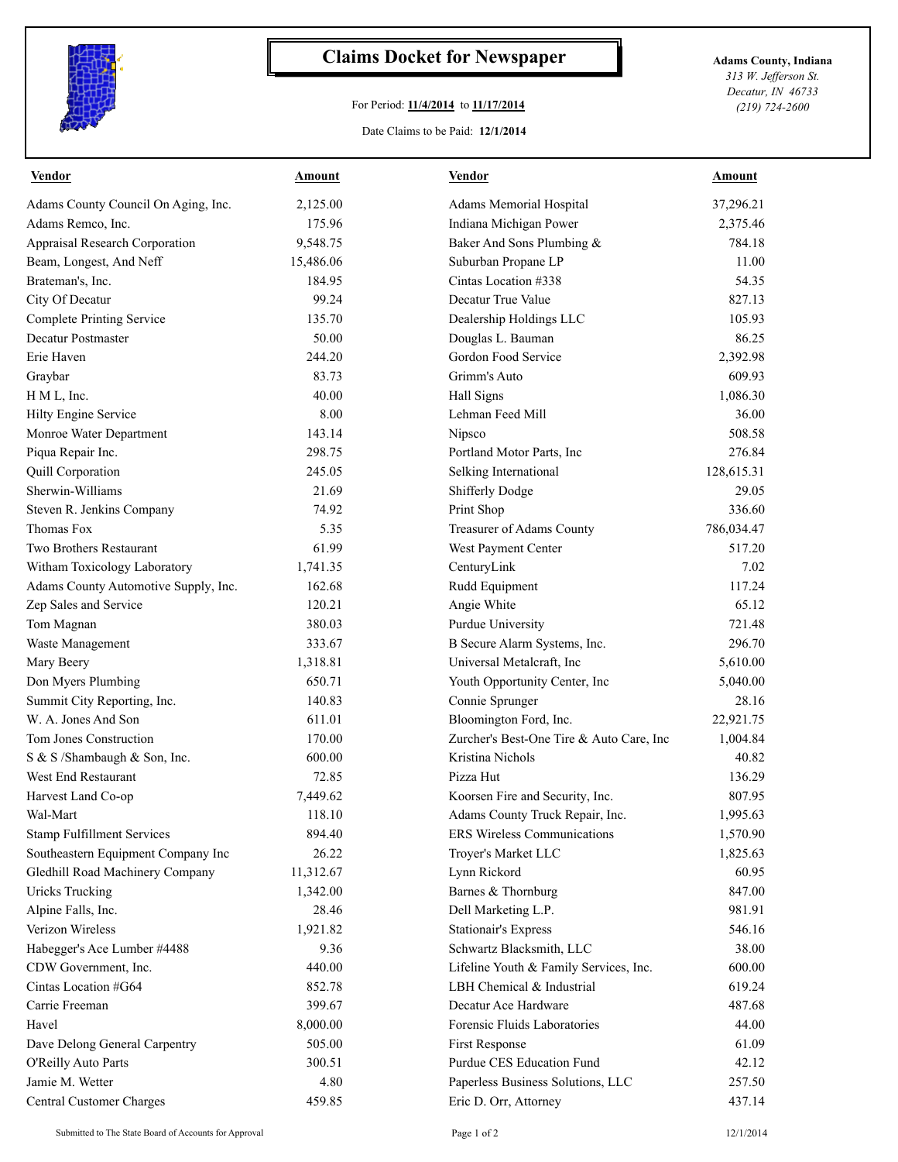

## **Claims Docket for Newspaper Adams County, Indiana**

## For Period: **11/4/2014** to **11/17/2014**

Date Claims to be Paid: **12/1/2014**

*313 W. Jefferson St. Decatur, IN 46733 (219) 724-2600*

| <b>Vendor</b>                        | <b>Amount</b> | <b>Vendor</b>                            | <b>Amount</b> |
|--------------------------------------|---------------|------------------------------------------|---------------|
| Adams County Council On Aging, Inc.  | 2,125.00      | Adams Memorial Hospital                  | 37,296.21     |
| Adams Remco, Inc.                    | 175.96        | Indiana Michigan Power                   | 2,375.46      |
| Appraisal Research Corporation       | 9,548.75      | Baker And Sons Plumbing &                | 784.18        |
| Beam, Longest, And Neff              | 15,486.06     | Suburban Propane LP                      | 11.00         |
| Brateman's, Inc.                     | 184.95        | Cintas Location #338                     | 54.35         |
| City Of Decatur                      | 99.24         | Decatur True Value                       | 827.13        |
| <b>Complete Printing Service</b>     | 135.70        | Dealership Holdings LLC                  | 105.93        |
| Decatur Postmaster                   | 50.00         | Douglas L. Bauman                        | 86.25         |
| Erie Haven                           | 244.20        | Gordon Food Service                      | 2,392.98      |
| Graybar                              | 83.73         | Grimm's Auto                             | 609.93        |
| H M L, Inc.                          | 40.00         | Hall Signs                               | 1,086.30      |
| <b>Hilty Engine Service</b>          | 8.00          | Lehman Feed Mill                         | 36.00         |
| Monroe Water Department              | 143.14        | Nipsco                                   | 508.58        |
| Piqua Repair Inc.                    | 298.75        | Portland Motor Parts, Inc                | 276.84        |
| <b>Quill Corporation</b>             | 245.05        | Selking International                    | 128,615.31    |
| Sherwin-Williams                     | 21.69         | <b>Shifferly Dodge</b>                   | 29.05         |
| Steven R. Jenkins Company            | 74.92         | Print Shop                               | 336.60        |
| Thomas Fox                           | 5.35          | Treasurer of Adams County                | 786,034.47    |
| Two Brothers Restaurant              | 61.99         | West Payment Center                      | 517.20        |
| Witham Toxicology Laboratory         | 1,741.35      | CenturyLink                              | 7.02          |
| Adams County Automotive Supply, Inc. | 162.68        | Rudd Equipment                           | 117.24        |
| Zep Sales and Service                | 120.21        | Angie White                              | 65.12         |
| Tom Magnan                           | 380.03        | Purdue University                        | 721.48        |
| Waste Management                     | 333.67        | B Secure Alarm Systems, Inc.             | 296.70        |
| Mary Beery                           | 1,318.81      | Universal Metalcraft, Inc                | 5,610.00      |
| Don Myers Plumbing                   | 650.71        | Youth Opportunity Center, Inc            | 5,040.00      |
| Summit City Reporting, Inc.          | 140.83        | Connie Sprunger                          | 28.16         |
| W. A. Jones And Son                  | 611.01        | Bloomington Ford, Inc.                   | 22,921.75     |
| Tom Jones Construction               | 170.00        | Zurcher's Best-One Tire & Auto Care, Inc | 1,004.84      |
| S & S /Shambaugh & Son, Inc.         | 600.00        | Kristina Nichols                         | 40.82         |
| West End Restaurant                  | 72.85         | Pizza Hut                                | 136.29        |
| Harvest Land Co-op                   | 7,449.62      | Koorsen Fire and Security, Inc.          | 807.95        |
| Wal-Mart                             | 118.10        | Adams County Truck Repair, Inc.          | 1,995.63      |
| <b>Stamp Fulfillment Services</b>    | 894.40        | ERS Wireless Communications              | 1,570.90      |
| Southeastern Equipment Company Inc   | 26.22         | Troyer's Market LLC                      | 1,825.63      |
| Gledhill Road Machinery Company      | 11,312.67     | Lynn Rickord                             | 60.95         |
| <b>Uricks Trucking</b>               | 1,342.00      | Barnes & Thornburg                       | 847.00        |
| Alpine Falls, Inc.                   | 28.46         | Dell Marketing L.P.                      | 981.91        |
| Verizon Wireless                     | 1,921.82      | <b>Stationair's Express</b>              | 546.16        |
| Habegger's Ace Lumber #4488          | 9.36          | Schwartz Blacksmith, LLC                 | 38.00         |
| CDW Government, Inc.                 | 440.00        | Lifeline Youth & Family Services, Inc.   | 600.00        |
| Cintas Location #G64                 | 852.78        | LBH Chemical & Industrial                | 619.24        |
| Carrie Freeman                       | 399.67        | Decatur Ace Hardware                     | 487.68        |
| Havel                                | 8,000.00      | Forensic Fluids Laboratories             | 44.00         |
| Dave Delong General Carpentry        | 505.00        | First Response                           | 61.09         |
| O'Reilly Auto Parts                  | 300.51        | Purdue CES Education Fund                | 42.12         |
| Jamie M. Wetter                      | 4.80          | Paperless Business Solutions, LLC        | 257.50        |
| <b>Central Customer Charges</b>      | 459.85        | Eric D. Orr, Attorney                    | 437.14        |